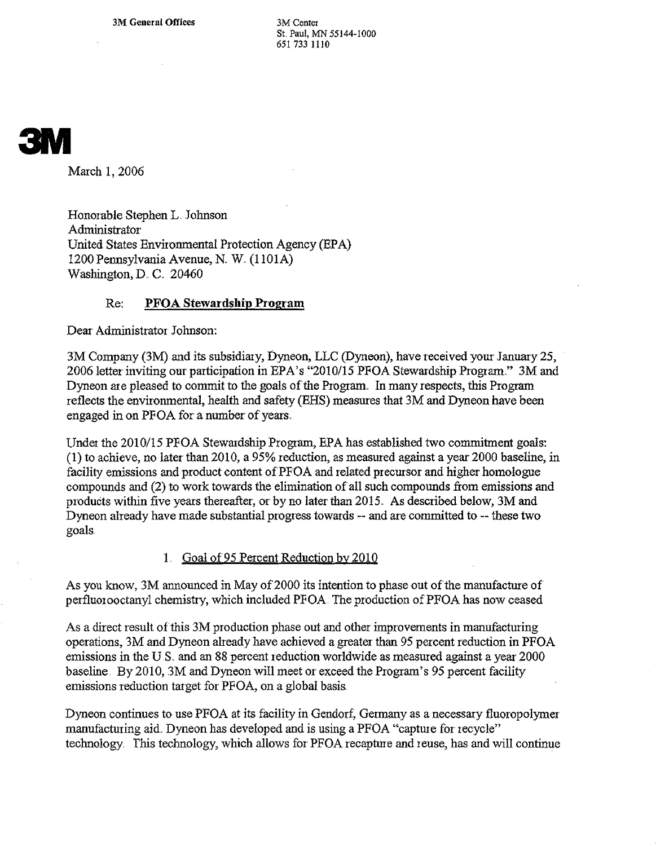3M General Offices 3M Center

St. Paul, MN 55144-1000 651 733 1110

## 3M

March 1, 2006

Honorable StephenL. Johnson Administrator United States Environmental Protection Agency (EPA) 1200 Pennsylvania Avenue, N.. W.. (1lOlA) Washington, D. C. 20460

## Re: **PFOA Stewardship Program**

Dear Administrator Johnson:

3M Company (3M) and its subsidiary, Dyneon, LLC (Dyneon), have received your January 25, 2006 letter inviting our participation in EPA's "2010/15 PFOA Stewardship Program." 3M and Dyneon are pleased to commit to the goals of the Program. In many respects, this Program reflects the environmental, health and *safety* (EHS) measures that 3M and Dyneon have been engaged in on PFOA for a number of years..

Under the 2010/15 PFOA Stewardship Program, EPA has established two commitment goals: (1) to achieve, no later than 2010, a *95%* reduction, as measured against a year2000 baseline, in facility emissions and product content of PFOA and related precursor and higher homologue compounds and (2) to work towards the elimination of all such compounds from emissions and produdts within five years thereafter, or by no later than 2015.. As described below, 3M and Dyneon already have made substantial progress towards -- and are committed to -- these two goals.

## 1. Goal of 95 Percent Reduction by 2010

As you know, 3M announced in May of 2000 its intention to phase out of the manufacture of perfluorooctanyl chemistry, which included PFOA. The production of PFOA has now ceased

As a direct result of this 3M production phase out and other improvements in manufacturing operations, 3M and Dyncon already have achieved a greaterthan *95* percent reduction in PFOA emissions in the U.S. and an 88 percent reduction worldwide as measured against a year 2000 baseline. By 2010, 3M and Dyneon will meet or exceed the Program's *95* percent facility emissions reduction target for PFOA, on a global basis.

Dyneon continues to use PFOA at its facility in Gendorf, Germany as a necessary fluoropolymer manufacturing aid.. Dyneon has developed and is using a PFOA "capture for recycle" technology. This technology, which allows for PFOA recapture and reuse, has and will continue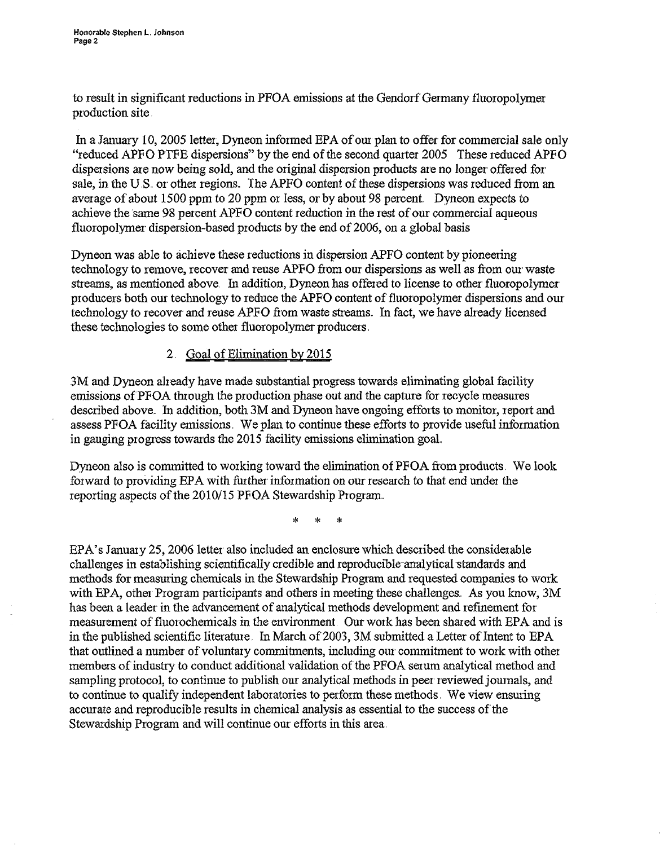to result in significant reductions in PFOA emissions at the Gendorf Germany fluoropolymer production site.

In a January 10, 2005 letter, Dyneon informed EPA of our plan to offer for commercial sale only "reduced APPO PIPE dispersions" by the end ofthe second quarter2005 These reduced APPO dispersions are now being sold, and the original dispersion products are no longer offered for sale, in the U.S. or other regions. The APFO content of these dispersions was reduced from an average of'about 1500 ppm to 20 ppm or less, or by about 98 percent.. Dyneon expects to achieve the same 98 percentAPPO content reduction in the rest ofour commercial aqueous fluoropolymer dispersion-based products by the end of 2006, on a global basis

Dyneon was able to achieve these reductionsin dispersion APFO content by pioneering technology to remove, recover and reuse APFO from our dispersions as well as from our waste streams, as mentioned above. In addition, Dyneon has offered to license to other fluoropolymer producers both our technology to reduce the APFO content of fluoropolymer dispersions and our technology to recover and reuse APFO from waste streams. In fact, we have already licensed these technologies to some other fluoropolymer producers.

## 2 Goal of Elimination by 2015

3M and Dyneon already have made substantial progress towards eliminating global facility emissions of PFOA through the production phase out and the capture for recycle measures described above. In addition, both 3M and Dyneon have ongoing efforts to monitor, report and assess PFOA facility emissions. We plan to continue these efforts to provide useful information in gauging progress towards the 2015 facility emissions elimination goal.

Dyneon also is committed to working toward the elimination of PFOA from products. We look forward to providing EPA with further information on ourresearch to that end under the reporting aspects of the 2010/15 PFOA Stewardship Program.

**\* \* \***

EPA's January 25, 2006 letter also included an enclosure which described the considerable challenges in establishing scientifically credible and reproducible-analytical standards and methods for measuring chemicals in the Stewardship Program and requested companies to work with EPA, other Program participants and others in meeting these challenges. As you know, 3M has been a leader in the advancement of analytical methods development and refinement for measurement offluoroehemicals in the environment. Our work has been shared with EPA and is in the published scientific literature. In March of 2003, 3M submitted a Letter of Intent to EPA that outlined a number of voluntary commitments, including our commitment to work with other members of industry to conduct additional validation of the PFOA serum analytical method and sampling protocol, to continue to publish our analytical methods in peer reviewed journals, and to continue to qualify independent laboratories to perform these methods. We view ensuring accurate and reproducible results in chemical analysis as essential to the success of the Stewardship Program and will continue our efforts in this area.